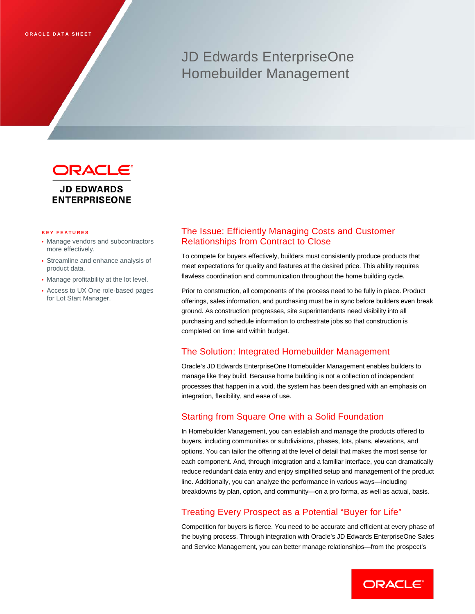# JD Edwards EnterpriseOne Homebuilder Management



# **JD EDWARDS ENTERPRISEONE**

#### **KEY FEATURES**

- Manage vendors and subcontractors more effectively.
- Streamline and enhance analysis of product data.
- Manage profitability at the lot level.
- Access to UX One role-based pages for Lot Start Manager.

# The Issue: Efficiently Managing Costs and Customer Relationships from Contract to Close

To compete for buyers effectively, builders must consistently produce products that meet expectations for quality and features at the desired price. This ability requires flawless coordination and communication throughout the home building cycle.

Prior to construction, all components of the process need to be fully in place. Product offerings, sales information, and purchasing must be in sync before builders even break ground. As construction progresses, site superintendents need visibility into all purchasing and schedule information to orchestrate jobs so that construction is completed on time and within budget.

# The Solution: Integrated Homebuilder Management

Oracle's JD Edwards EnterpriseOne Homebuilder Management enables builders to manage like they build. Because home building is not a collection of independent processes that happen in a void, the system has been designed with an emphasis on integration, flexibility, and ease of use.

# Starting from Square One with a Solid Foundation

In Homebuilder Management, you can establish and manage the products offered to buyers, including communities or subdivisions, phases, lots, plans, elevations, and options. You can tailor the offering at the level of detail that makes the most sense for each component. And, through integration and a familiar interface, you can dramatically reduce redundant data entry and enjoy simplified setup and management of the product line. Additionally, you can analyze the performance in various ways—including breakdowns by plan, option, and community—on a pro forma, as well as actual, basis.

# Treating Every Prospect as a Potential "Buyer for Life"

Competition for buyers is fierce. You need to be accurate and efficient at every phase of the buying process. Through integration with Oracle's JD Edwards EnterpriseOne Sales and Service Management, you can better manage relationships—from the prospect's

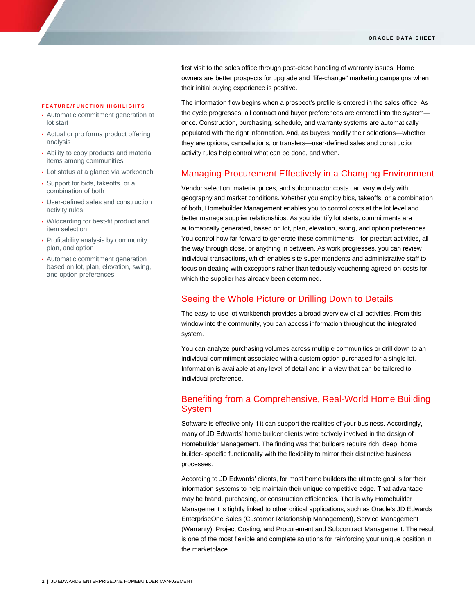first visit to the sales office through post-close handling of warranty issues. Home owners are better prospects for upgrade and "life-change" marketing campaigns when their initial buying experience is positive.

### **FEATURE/FUNCTION HIG HLIGHTS**

- Automatic commitment generation at lot start
- Actual or pro forma product offering analysis
- Ability to copy products and material items among communities
- Lot status at a glance via workbench
- Support for bids, takeoffs, or a combination of both
- User-defined sales and construction activity rules
- Wildcarding for best-fit product and item selection
- Profitability analysis by community, plan, and option
- Automatic commitment generation based on lot, plan, elevation, swing, and option preferences

The information flow begins when a prospect's profile is entered in the sales office. As the cycle progresses, all contract and buyer preferences are entered into the system once. Construction, purchasing, schedule, and warranty systems are automatically populated with the right information. And, as buyers modify their selections—whether they are options, cancellations, or transfers—user-defined sales and construction activity rules help control what can be done, and when.

## Managing Procurement Effectively in a Changing Environment

Vendor selection, material prices, and subcontractor costs can vary widely with geography and market conditions. Whether you employ bids, takeoffs, or a combination of both, Homebuilder Management enables you to control costs at the lot level and better manage supplier relationships. As you identify lot starts, commitments are automatically generated, based on lot, plan, elevation, swing, and option preferences. You control how far forward to generate these commitments—for prestart activities, all the way through close, or anything in between. As work progresses, you can review individual transactions, which enables site superintendents and administrative staff to focus on dealing with exceptions rather than tediously vouchering agreed-on costs for which the supplier has already been determined.

## Seeing the Whole Picture or Drilling Down to Details

The easy-to-use lot workbench provides a broad overview of all activities. From this window into the community, you can access information throughout the integrated system.

You can analyze purchasing volumes across multiple communities or drill down to an individual commitment associated with a custom option purchased for a single lot. Information is available at any level of detail and in a view that can be tailored to individual preference.

# Benefiting from a Comprehensive, Real-World Home Building System

Software is effective only if it can support the realities of your business. Accordingly, many of JD Edwards' home builder clients were actively involved in the design of Homebuilder Management. The finding was that builders require rich, deep, home builder- specific functionality with the flexibility to mirror their distinctive business processes.

According to JD Edwards' clients, for most home builders the ultimate goal is for their information systems to help maintain their unique competitive edge. That advantage may be brand, purchasing, or construction efficiencies. That is why Homebuilder Management is tightly linked to other critical applications, such as Oracle's JD Edwards EnterpriseOne Sales (Customer Relationship Management), Service Management (Warranty), Project Costing, and Procurement and Subcontract Management. The result is one of the most flexible and complete solutions for reinforcing your unique position in the marketplace.